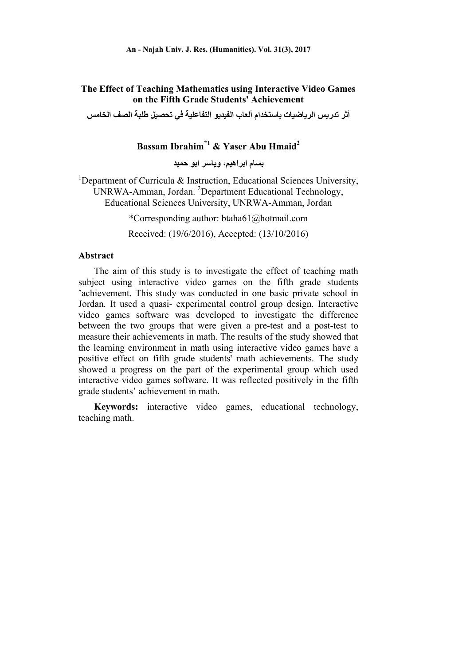## **The Effect of Teaching Mathematics using Interactive Video Games on the Fifth Grade Students' Achievement**

**أثر تدريس الرياضيات باستخدام ألعاب الفيديو التفاعلية في تحصيل طلبة الصف الخامس** 

# **Bassam Ibrahim\*1 & Yaser Abu Hmaid2**

**بسام ابراھيم، وياسر ابو حميد** 

<sup>1</sup>Department of Curricula & Instruction, Educational Sciences University, UNRWA-Amman, Jordan. <sup>2</sup>Department Educational Technology, Educational Sciences University, UNRWA-Amman, Jordan

\*Corresponding author: btaha61@hotmail.com

Received: (19/6/2016), Accepted: (13/10/2016)

## **Abstract**

The aim of this study is to investigate the effect of teaching math subject using interactive video games on the fifth grade students 'achievement. This study was conducted in one basic private school in Jordan. It used a quasi- experimental control group design. Interactive video games software was developed to investigate the difference between the two groups that were given a pre-test and a post-test to measure their achievements in math. The results of the study showed that the learning environment in math using interactive video games have a positive effect on fifth grade students' math achievements. The study showed a progress on the part of the experimental group which used interactive video games software. It was reflected positively in the fifth grade students' achievement in math.

**Keywords:** interactive video games, educational technology, teaching math.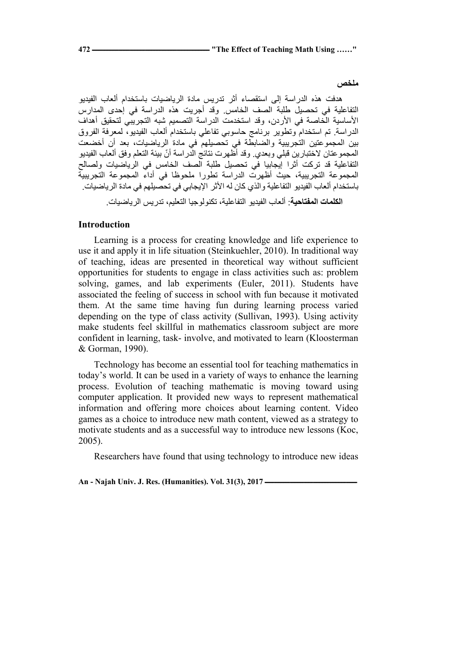**ملخص** 

ھدفت ھذه الدراسة إلى استقصاء أثر تدريس مادة الرياضيات باستخدام ألعاب الفيديو التفاعلية في تحصيل طلبة الصف الخامس. وقد أجريت ھذه الدراسة في إحدى المدارس الأساسية الْخاصة في الأردن، وقد استخدمت الدر اسة التصميم شبه التجريبي لتحقيق أهداف الدراسة. تم استخدام وتطوير برنامج حاسوبي تفاعلي باستخدام ألعاب الفيديو، لمعرفة الفروق بين المجموعتين التجريبية والضابطة في تحصيلھم في مادة الرياضيات، بعد أن أخضعت المجموعتان لاختبارين قبلي وبعدي. وقد أظهرت نتائج الدراسة أنّ بيئة التعلم وفق ألعاب الفيديو التفاعلية قد تركت أثرا إيجابيا في تحصيل طلبة الصف الخامس في الرياضيات ولصالح المجموعة التجريبية، حيث أظھرت الدراسة تطورا ملحوظا في أداء المجموعة التجريبية باستخدام ألعاب الفيديو التفاعلية والذي كان له األثر اإليجابي في تحصيلھم في مادة الرياضيات.

**الكلمات المفتاحية**: ألعاب الفيديو التفاعلية، تكنولوجيا التعليم، تدريس الرياضيات.

#### **Introduction**

Learning is a process for creating knowledge and life experience to use it and apply it in life situation (Steinkuehler, 2010). In traditional way of teaching, ideas are presented in theoretical way without sufficient opportunities for students to engage in class activities such as: problem solving, games, and lab experiments (Euler, 2011). Students have associated the feeling of success in school with fun because it motivated them. At the same time having fun during learning process varied depending on the type of class activity (Sullivan, 1993). Using activity make students feel skillful in mathematics classroom subject are more confident in learning, task- involve, and motivated to learn (Kloosterman & Gorman, 1990).

Technology has become an essential tool for teaching mathematics in today's world. It can be used in a variety of ways to enhance the learning process. Evolution of teaching mathematic is moving toward using computer application. It provided new ways to represent mathematical information and offering more choices about learning content. Video games as a choice to introduce new math content, viewed as a strategy to motivate students and as a successful way to introduce new lessons (Koc, 2005).

Researchers have found that using technology to introduce new ideas

An - Najah Univ. J. Res. (Humanities). Vol. 31(3), 2017 —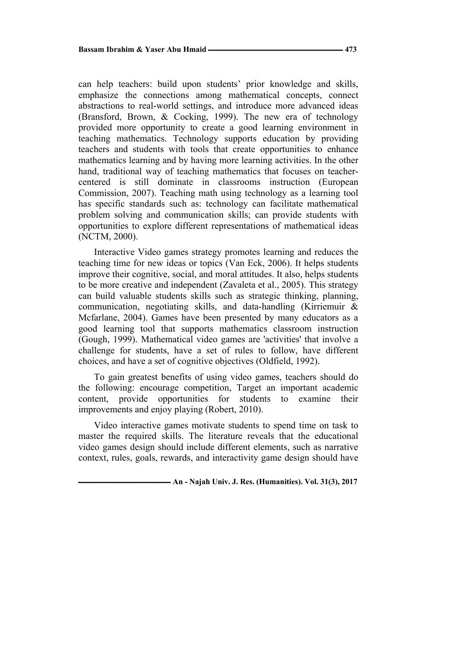can help teachers: build upon students' prior knowledge and skills, emphasize the connections among mathematical concepts, connect abstractions to real-world settings, and introduce more advanced ideas (Bransford, Brown, & Cocking, 1999). The new era of technology provided more opportunity to create a good learning environment in teaching mathematics. Technology supports education by providing teachers and students with tools that create opportunities to enhance mathematics learning and by having more learning activities. In the other hand, traditional way of teaching mathematics that focuses on teachercentered is still dominate in classrooms instruction (European Commission, 2007). Teaching math using technology as a learning tool has specific standards such as: technology can facilitate mathematical problem solving and communication skills; can provide students with opportunities to explore different representations of mathematical ideas (NCTM, 2000).

Interactive Video games strategy promotes learning and reduces the teaching time for new ideas or topics (Van Eck, 2006). It helps students improve their cognitive, social, and moral attitudes. It also, helps students to be more creative and independent (Zavaleta et al., 2005). This strategy can build valuable students skills such as strategic thinking, planning, communication, negotiating skills, and data-handling (Kirriemuir & Mcfarlane, 2004). Games have been presented by many educators as a good learning tool that supports mathematics classroom instruction (Gough, 1999). Mathematical video games are 'activities' that involve a challenge for students, have a set of rules to follow, have different choices, and have a set of cognitive objectives (Oldfield, 1992).

To gain greatest benefits of using video games, teachers should do the following: encourage competition, Target an important academic content, provide opportunities for students to examine their improvements and enjoy playing (Robert, 2010).

Video interactive games motivate students to spend time on task to master the required skills. The literature reveals that the educational video games design should include different elements, such as narrative context, rules, goals, rewards, and interactivity game design should have

**ـــــــــــــــــــــــــــــــــــــــــــــــــــــــــــ An - Najah Univ. J. Res. (Humanities). Vol. 31(3), 2017**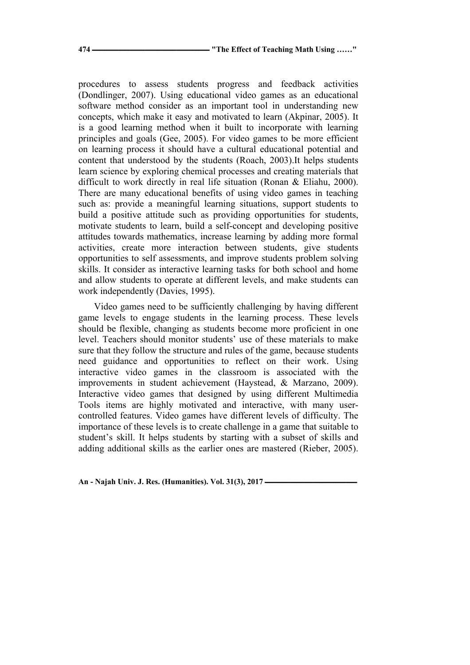procedures to assess students progress and feedback activities (Dondlinger, 2007). Using educational video games as an educational software method consider as an important tool in understanding new concepts, which make it easy and motivated to learn (Akpinar, 2005). It is a good learning method when it built to incorporate with learning principles and goals (Gee, 2005). For video games to be more efficient on learning process it should have a cultural educational potential and content that understood by the students (Roach, 2003).It helps students learn science by exploring chemical processes and creating materials that difficult to work directly in real life situation (Ronan & Eliahu, 2000). There are many educational benefits of using video games in teaching such as: provide a meaningful learning situations, support students to build a positive attitude such as providing opportunities for students, motivate students to learn, build a self-concept and developing positive attitudes towards mathematics, increase learning by adding more formal activities, create more interaction between students, give students opportunities to self assessments, and improve students problem solving skills. It consider as interactive learning tasks for both school and home and allow students to operate at different levels, and make students can work independently (Davies, 1995).

Video games need to be sufficiently challenging by having different game levels to engage students in the learning process. These levels should be flexible, changing as students become more proficient in one level. Teachers should monitor students' use of these materials to make sure that they follow the structure and rules of the game, because students need guidance and opportunities to reflect on their work. Using interactive video games in the classroom is associated with the improvements in student achievement (Haystead, & Marzano, 2009). Interactive video games that designed by using different Multimedia Tools items are highly motivated and interactive, with many usercontrolled features. Video games have different levels of difficulty. The importance of these levels is to create challenge in a game that suitable to student's skill. It helps students by starting with a subset of skills and adding additional skills as the earlier ones are mastered (Rieber, 2005).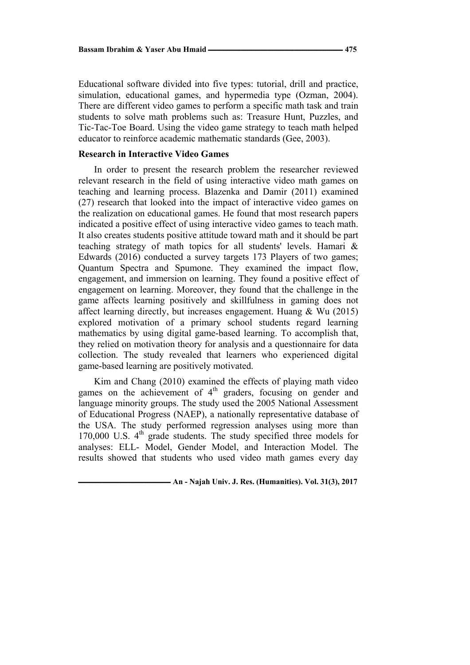Educational software divided into five types: tutorial, drill and practice, simulation, educational games, and hypermedia type (Ozman, 2004). There are different video games to perform a specific math task and train students to solve math problems such as: Treasure Hunt, Puzzles, and Tic-Tac-Toe Board. Using the video game strategy to teach math helped educator to reinforce academic mathematic standards (Gee, 2003).

## **Research in Interactive Video Games**

In order to present the research problem the researcher reviewed relevant research in the field of using interactive video math games on teaching and learning process. Blazenka and Damir (2011) examined (27) research that looked into the impact of interactive video games on the realization on educational games. He found that most research papers indicated a positive effect of using interactive video games to teach math. It also creates students positive attitude toward math and it should be part teaching strategy of math topics for all students' levels. Hamari & Edwards (2016) conducted a survey targets 173 Players of two games; Quantum Spectra and Spumone. They examined the impact flow, engagement, and immersion on learning. They found a positive effect of engagement on learning. Moreover, they found that the challenge in the game affects learning positively and skillfulness in gaming does not affect learning directly, but increases engagement. Huang & Wu (2015) explored motivation of a primary school students regard learning mathematics by using digital game-based learning. To accomplish that, they relied on motivation theory for analysis and a questionnaire for data collection. The study revealed that learners who experienced digital game-based learning are positively motivated.

Kim and Chang (2010) examined the effects of playing math video games on the achievement of  $4<sup>th</sup>$  graders, focusing on gender and language minority groups. The study used the 2005 National Assessment of Educational Progress (NAEP), a nationally representative database of the USA. The study performed regression analyses using more than 170,000 U.S.  $4<sup>th</sup>$  grade students. The study specified three models for analyses: ELL- Model, Gender Model, and Interaction Model. The results showed that students who used video math games every day

*<u><b>—* An - Najah Univ. J. Res. (Humanities). Vol. 31(3), 2017</u>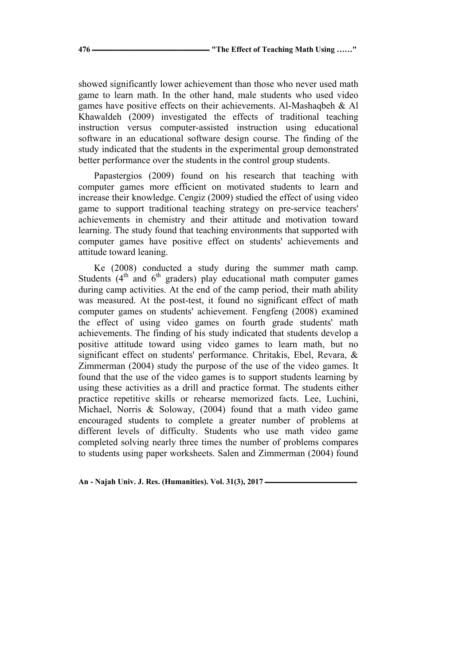showed significantly lower achievement than those who never used math game to learn math. In the other hand, male students who used video games have positive effects on their achievements. Al-Mashaqbeh & Al Khawaldeh (2009) investigated the effects of traditional teaching instruction versus computer-assisted instruction using educational software in an educational software design course. The finding of the study indicated that the students in the experimental group demonstrated better performance over the students in the control group students.

Papastergios (2009) found on his research that teaching with computer games more efficient on motivated students to learn and increase their knowledge. Cengiz (2009) studied the effect of using video game to support traditional teaching strategy on pre-service teachers' achievements in chemistry and their attitude and motivation toward learning. The study found that teaching environments that supported with computer games have positive effect on students' achievements and attitude toward leaning.

Ke (2008) conducted a study during the summer math camp. Students  $(4<sup>th</sup>$  and  $6<sup>th</sup>$  graders) play educational math computer games during camp activities. At the end of the camp period, their math ability was measured. At the post-test, it found no significant effect of math computer games on students' achievement. Fengfeng (2008) examined the effect of using video games on fourth grade students' math achievements. The finding of his study indicated that students develop a positive attitude toward using video games to learn math, but no significant effect on students' performance. Chritakis, Ebel, Revara, & Zimmerman (2004) study the purpose of the use of the video games. It found that the use of the video games is to support students learning by using these activities as a drill and practice format. The students either practice repetitive skills or rehearse memorized facts. Lee, Luchini, Michael, Norris & Soloway, (2004) found that a math video game encouraged students to complete a greater number of problems at different levels of difficulty. Students who use math video game completed solving nearly three times the number of problems compares to students using paper worksheets. Salen and Zimmerman (2004) found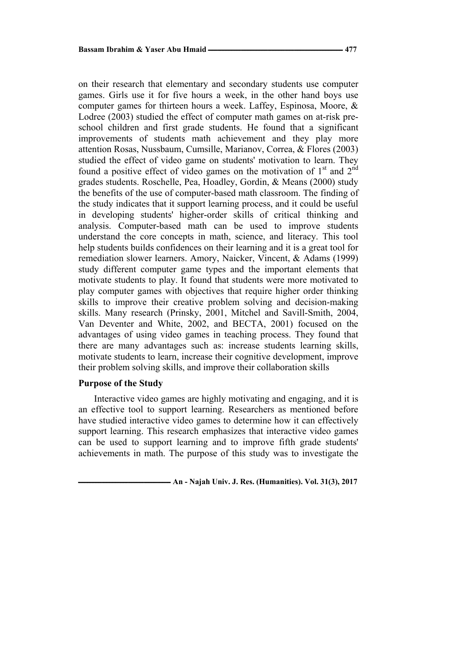on their research that elementary and secondary students use computer games. Girls use it for five hours a week, in the other hand boys use computer games for thirteen hours a week. Laffey, Espinosa, Moore, & Lodree (2003) studied the effect of computer math games on at-risk preschool children and first grade students. He found that a significant improvements of students math achievement and they play more attention Rosas, Nussbaum, Cumsille, Marianov, Correa, & Flores (2003) studied the effect of video game on students' motivation to learn. They found a positive effect of video games on the motivation of  $1<sup>st</sup>$  and  $2<sup>nd</sup>$ grades students. Roschelle, Pea, Hoadley, Gordin, & Means (2000) study the benefits of the use of computer-based math classroom. The finding of the study indicates that it support learning process, and it could be useful in developing students' higher-order skills of critical thinking and analysis. Computer-based math can be used to improve students understand the core concepts in math, science, and literacy. This tool help students builds confidences on their learning and it is a great tool for remediation slower learners. Amory, Naicker, Vincent, & Adams (1999) study different computer game types and the important elements that motivate students to play. It found that students were more motivated to play computer games with objectives that require higher order thinking skills to improve their creative problem solving and decision-making skills. Many research (Prinsky, 2001, Mitchel and Savill-Smith, 2004, Van Deventer and White, 2002, and BECTA, 2001) focused on the advantages of using video games in teaching process. They found that there are many advantages such as: increase students learning skills, motivate students to learn, increase their cognitive development, improve their problem solving skills, and improve their collaboration skills

#### **Purpose of the Study**

Interactive video games are highly motivating and engaging, and it is an effective tool to support learning. Researchers as mentioned before have studied interactive video games to determine how it can effectively support learning. This research emphasizes that interactive video games can be used to support learning and to improve fifth grade students' achievements in math. The purpose of this study was to investigate the

 $\blacksquare$  **An - Najah Univ. J. Res. (Humanities). Vol. 31(3), 2017**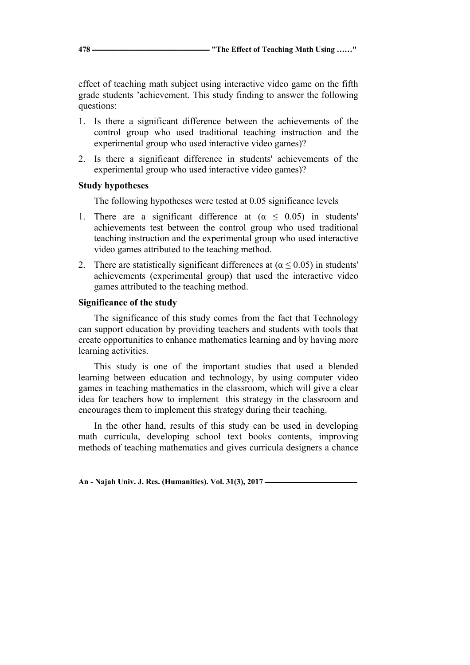effect of teaching math subject using interactive video game on the fifth grade students 'achievement. This study finding to answer the following questions:

- 1. Is there a significant difference between the achievements of the control group who used traditional teaching instruction and the experimental group who used interactive video games)?
- 2. Is there a significant difference in students' achievements of the experimental group who used interactive video games)?

### **Study hypotheses**

The following hypotheses were tested at 0.05 significance levels

- 1. There are a significant difference at  $(\alpha \leq 0.05)$  in students' achievements test between the control group who used traditional teaching instruction and the experimental group who used interactive video games attributed to the teaching method.
- 2. There are statistically significant differences at  $(\alpha \le 0.05)$  in students' achievements (experimental group) that used the interactive video games attributed to the teaching method.

### **Significance of the study**

The significance of this study comes from the fact that Technology can support education by providing teachers and students with tools that create opportunities to enhance mathematics learning and by having more learning activities.

This study is one of the important studies that used a blended learning between education and technology, by using computer video games in teaching mathematics in the classroom, which will give a clear idea for teachers how to implement this strategy in the classroom and encourages them to implement this strategy during their teaching.

In the other hand, results of this study can be used in developing math curricula, developing school text books contents, improving methods of teaching mathematics and gives curricula designers a chance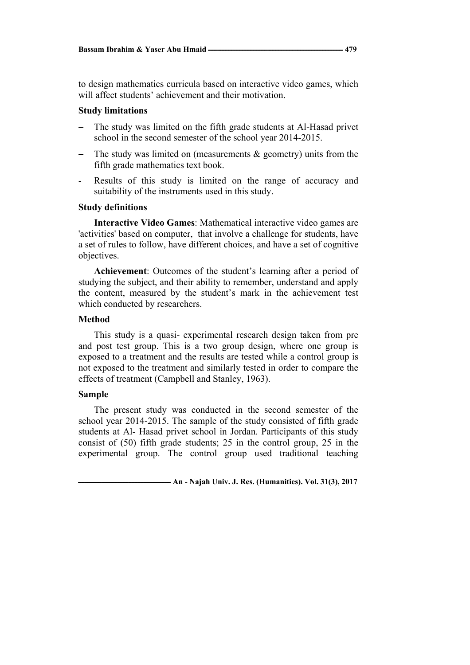to design mathematics curricula based on interactive video games, which will affect students' achievement and their motivation.

#### **Study limitations**

- The study was limited on the fifth grade students at Al-Hasad privet school in the second semester of the school year 2014-2015.
- The study was limited on (measurements  $&$  geometry) units from the fifth grade mathematics text book.
- Results of this study is limited on the range of accuracy and suitability of the instruments used in this study.

### **Study definitions**

**Interactive Video Games**: Mathematical interactive video games are 'activities' based on computer, that involve a challenge for students, have a set of rules to follow, have different choices, and have a set of cognitive objectives.

**Achievement**: Outcomes of the student's learning after a period of studying the subject, and their ability to remember, understand and apply the content, measured by the student's mark in the achievement test which conducted by researchers.

### **Method**

This study is a quasi- experimental research design taken from pre and post test group. This is a two group design, where one group is exposed to a treatment and the results are tested while a control group is not exposed to the treatment and similarly tested in order to compare the effects of treatment (Campbell and Stanley, 1963).

#### **Sample**

The present study was conducted in the second semester of the school year 2014-2015. The sample of the study consisted of fifth grade students at Al- Hasad privet school in Jordan. Participants of this study consist of (50) fifth grade students; 25 in the control group, 25 in the experimental group. The control group used traditional teaching

 $-$  An - Najah Univ. J. Res. (Humanities). Vol. 31(3), 2017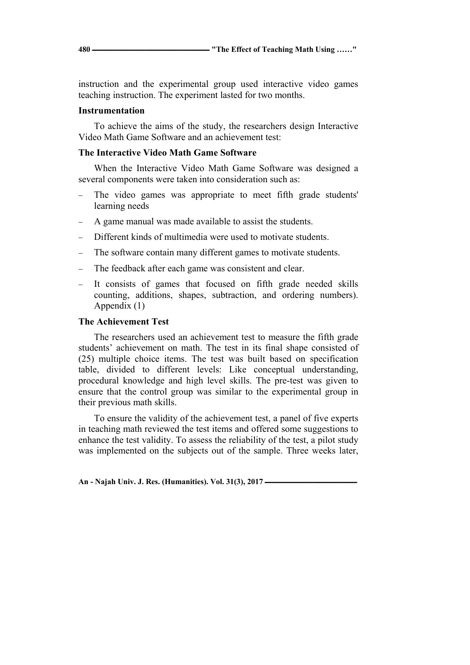instruction and the experimental group used interactive video games teaching instruction. The experiment lasted for two months.

### **Instrumentation**

To achieve the aims of the study, the researchers design Interactive Video Math Game Software and an achievement test:

## **The Interactive Video Math Game Software**

When the Interactive Video Math Game Software was designed a several components were taken into consideration such as:

- The video games was appropriate to meet fifth grade students' learning needs
- − A game manual was made available to assist the students.
- Different kinds of multimedia were used to motivate students.
- The software contain many different games to motivate students.
- The feedback after each game was consistent and clear.
- It consists of games that focused on fifth grade needed skills counting, additions, shapes, subtraction, and ordering numbers). Appendix (1)

### **The Achievement Test**

The researchers used an achievement test to measure the fifth grade students' achievement on math. The test in its final shape consisted of (25) multiple choice items. The test was built based on specification table, divided to different levels: Like conceptual understanding, procedural knowledge and high level skills. The pre-test was given to ensure that the control group was similar to the experimental group in their previous math skills.

To ensure the validity of the achievement test, a panel of five experts in teaching math reviewed the test items and offered some suggestions to enhance the test validity. To assess the reliability of the test, a pilot study was implemented on the subjects out of the sample. Three weeks later,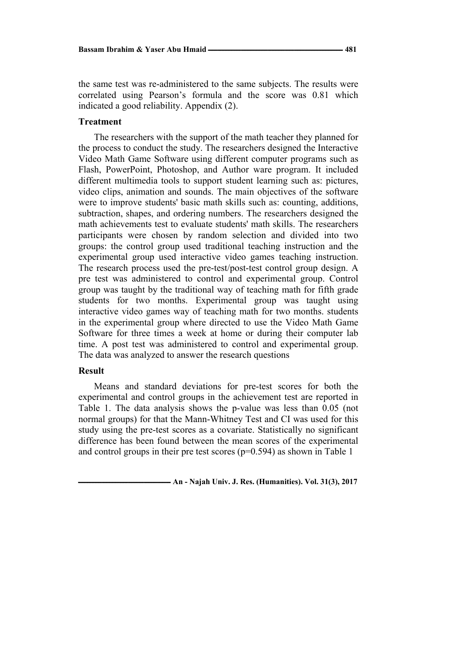the same test was re-administered to the same subjects. The results were correlated using Pearson's formula and the score was 0.81 which indicated a good reliability. Appendix (2).

#### **Treatment**

The researchers with the support of the math teacher they planned for the process to conduct the study. The researchers designed the Interactive Video Math Game Software using different computer programs such as Flash, PowerPoint, Photoshop, and Author ware program. It included different multimedia tools to support student learning such as: pictures, video clips, animation and sounds. The main objectives of the software were to improve students' basic math skills such as: counting, additions, subtraction, shapes, and ordering numbers. The researchers designed the math achievements test to evaluate students' math skills. The researchers participants were chosen by random selection and divided into two groups: the control group used traditional teaching instruction and the experimental group used interactive video games teaching instruction. The research process used the pre-test/post-test control group design. A pre test was administered to control and experimental group. Control group was taught by the traditional way of teaching math for fifth grade students for two months. Experimental group was taught using interactive video games way of teaching math for two months. students in the experimental group where directed to use the Video Math Game Software for three times a week at home or during their computer lab time. A post test was administered to control and experimental group. The data was analyzed to answer the research questions

### **Result**

Means and standard deviations for pre-test scores for both the experimental and control groups in the achievement test are reported in Table 1. The data analysis shows the p-value was less than 0.05 (not normal groups) for that the Mann-Whitney Test and CI was used for this study using the pre-test scores as a covariate. Statistically no significant difference has been found between the mean scores of the experimental and control groups in their pre test scores (p=0.594) as shown in Table 1

 $\blacksquare$  **An - Najah Univ. J. Res. (Humanities). Vol. 31(3), 2017**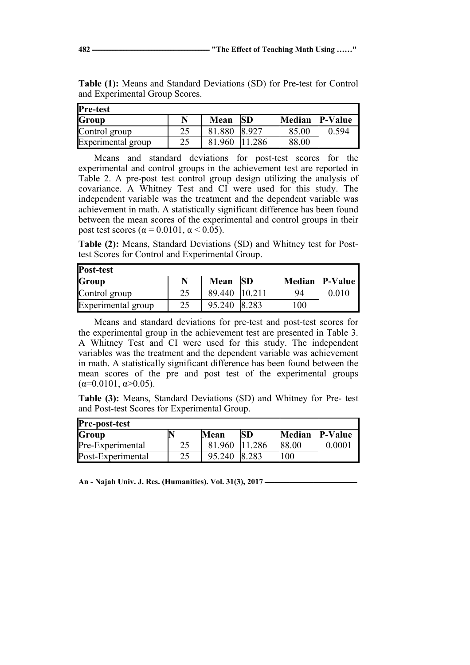| Pre-test           |     |        |           |               |                |  |  |
|--------------------|-----|--------|-----------|---------------|----------------|--|--|
| Group              | N   | Mean   | <b>SD</b> | <b>Median</b> | <b>P-Value</b> |  |  |
| Control group      | າ < | 81.880 | 8.927     | 85.00         | 0.594          |  |  |
| Experimental group | つく  | 81.960 | .286      | 88.00         |                |  |  |

**Table (1):** Means and Standard Deviations (SD) for Pre-test for Control and Experimental Group Scores.

Means and standard deviations for post-test scores for the experimental and control groups in the achievement test are reported in Table 2. A pre-post test control group design utilizing the analysis of covariance. A Whitney Test and CI were used for this study. The independent variable was the treatment and the dependent variable was achievement in math. A statistically significant difference has been found between the mean scores of the experimental and control groups in their post test scores ( $\alpha$  = 0.0101,  $\alpha$  < 0.05).

**Table (2):** Means, Standard Deviations (SD) and Whitney test for Posttest Scores for Control and Experimental Group.

| Post-test          |    |               |           |     |                  |  |  |  |
|--------------------|----|---------------|-----------|-----|------------------|--|--|--|
| Group              | N  | Mean          | <b>SD</b> |     | Median   P-Value |  |  |  |
| Control group      | 25 | 89.440 10.211 |           | 94  | 0.010            |  |  |  |
| Experimental group | 25 | 95.240        | 8.283     | 100 |                  |  |  |  |

Means and standard deviations for pre-test and post-test scores for the experimental group in the achievement test are presented in Table 3. A Whitney Test and CI were used for this study. The independent variables was the treatment and the dependent variable was achievement in math. A statistically significant difference has been found between the mean scores of the pre and post test of the experimental groups  $(\alpha=0.0101, \alpha>0.05)$ .

**Table (3):** Means, Standard Deviations (SD) and Whitney for Pre- test and Post-test Scores for Experimental Group.

| <b>Pre-post-test</b> |    |        |        |              |                |
|----------------------|----|--------|--------|--------------|----------------|
| Group                |    | Mean   | SD.    | Median       | <b>P-Value</b> |
| Pre-Experimental     | つく | 81.960 | 11.286 | <b>88.00</b> | 0.0001         |
| Post-Experimental    | າເ | 95.240 | IS 283 | $^{\circ}00$ |                |

An - Najah Univ. J. Res. (Humanities). Vol. 31(3), 2017 —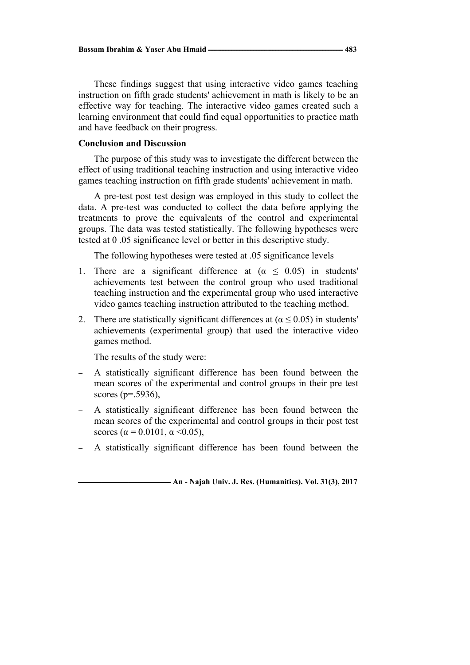These findings suggest that using interactive video games teaching instruction on fifth grade students' achievement in math is likely to be an effective way for teaching. The interactive video games created such a learning environment that could find equal opportunities to practice math and have feedback on their progress.

## **Conclusion and Discussion**

The purpose of this study was to investigate the different between the effect of using traditional teaching instruction and using interactive video games teaching instruction on fifth grade students' achievement in math.

A pre-test post test design was employed in this study to collect the data. A pre-test was conducted to collect the data before applying the treatments to prove the equivalents of the control and experimental groups. The data was tested statistically. The following hypotheses were tested at 0 .05 significance level or better in this descriptive study.

The following hypotheses were tested at .05 significance levels

- 1. There are a significant difference at  $(\alpha \leq 0.05)$  in students' achievements test between the control group who used traditional teaching instruction and the experimental group who used interactive video games teaching instruction attributed to the teaching method.
- 2. There are statistically significant differences at ( $\alpha \le 0.05$ ) in students' achievements (experimental group) that used the interactive video games method.

The results of the study were:

- − A statistically significant difference has been found between the mean scores of the experimental and control groups in their pre test scores ( $p = 0.5936$ ),
- − A statistically significant difference has been found between the mean scores of the experimental and control groups in their post test scores ( $\alpha$  = 0.0101,  $\alpha$  < 0.05),
- A statistically significant difference has been found between the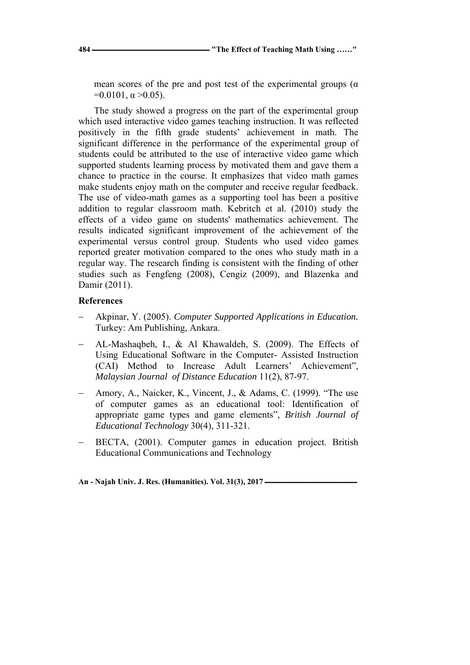**484 ـــــــــــــــــــــــــــــــــــــــــــــــــــــــــــــــــــــــــــ" The Effect of Teaching Math Using ……"** 

mean scores of the pre and post test of the experimental groups ( $\alpha$ )  $=0.0101$ ,  $\alpha > 0.05$ ).

The study showed a progress on the part of the experimental group which used interactive video games teaching instruction. It was reflected positively in the fifth grade students' achievement in math. The significant difference in the performance of the experimental group of students could be attributed to the use of interactive video game which supported students learning process by motivated them and gave them a chance to practice in the course. It emphasizes that video math games make students enjoy math on the computer and receive regular feedback. The use of video-math games as a supporting tool has been a positive addition to regular classroom math. Kebritch et al. (2010) study the effects of a video game on students' mathematics achievement. The results indicated significant improvement of the achievement of the experimental versus control group. Students who used video games reported greater motivation compared to the ones who study math in a regular way. The research finding is consistent with the finding of other studies such as Fengfeng (2008), Cengiz (2009), and Blazenka and Damir (2011).

## **References**

- − Akpinar, Y. (2005). *Computer Supported Applications in Education.*  Turkey: Am Publishing, Ankara.
- − AL-Mashaqbeh, I., & Al Khawaldeh, S. (2009). The Effects of Using Educational Software in the Computer- Assisted Instruction (CAI) Method to Increase Adult Learners' Achievement", *Malaysian Journal of Distance Education* 11(2), 87-97.
- − Amory, A., Naicker, K., Vincent, J., & Adams, C. (1999). "The use of computer games as an educational tool: Identification of appropriate game types and game elements", *British Journal of Educational Technology* 30(4), 311-321.
- BECTA, (2001). Computer games in education project. British Educational Communications and Technology

An - Najah Univ. J. Res. (Humanities). Vol. 31(3), 2017 —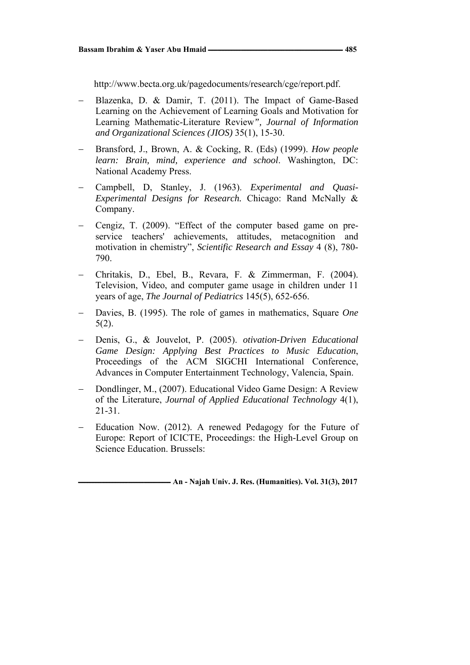http://www.becta.org.uk/pagedocuments/research/cge/report.pdf.

- − Blazenka, D. & Damir, T. (2011). The Impact of Game-Based Learning on the Achievement of Learning Goals and Motivation for Learning Mathematic-Literature Review*", Journal of Information and Organizational Sciences (JIOS)* 35(1), 15-30.
- − Bransford, J., Brown, A. & Cocking, R. (Eds) (1999). *How people learn: Brain, mind, experience and school*. Washington, DC: National Academy Press.
- − Campbell, D, Stanley, J. (1963). *Experimental and Quasi-Experimental Designs for Research.* Chicago: Rand McNally & Company.
- − Cengiz, T. (2009). "Effect of the computer based game on preservice teachers' achievements, attitudes, metacognition and motivation in chemistry", *Scientific Research and Essay* 4 (8), 780- 790.
- − Chritakis, D., Ebel, B., Revara, F. & Zimmerman, F. (2004). Television, Video, and computer game usage in children under 11 years of age, *The Journal of Pediatrics* 145(5), 652-656.
- − Davies, B. (1995). The role of games in mathematics, Square *One*  5(2).
- − Denis, G., & Jouvelot, P. (2005). *otivation-Driven Educational Game Design: Applying Best Practices to Music Education*, Proceedings of the ACM SIGCHI International Conference, Advances in Computer Entertainment Technology, Valencia, Spain.
- − Dondlinger, M., (2007). Educational Video Game Design: A Review of the Literature, *Journal of Applied Educational Technology* 4(1), 21-31.
- − Education Now. (2012). A renewed Pedagogy for the Future of Europe: Report of ICICTE, Proceedings: the High-Level Group on Science Education. Brussels:

 $\blacksquare$  **An - Najah Univ. J. Res. (Humanities). Vol. 31(3), 2017**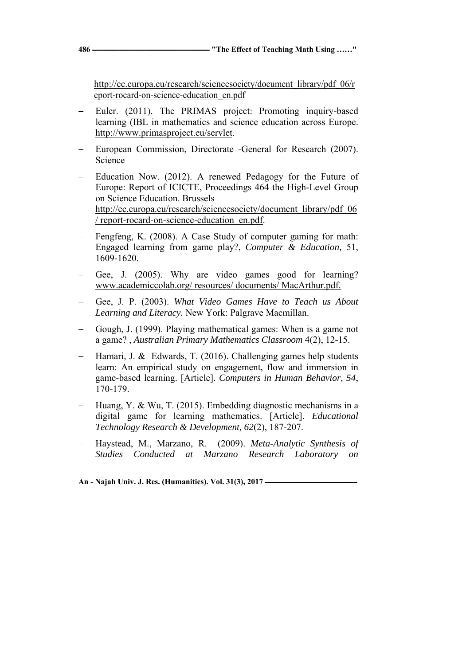http://ec.europa.eu/research/sciencesociety/document\_library/pdf\_06/r eport-rocard-on-science-education\_en.pdf

- Euler. (2011). The PRIMAS project: Promoting inquiry-based learning (IBL in mathematics and science education across Europe. http://www.primasproject.eu/servlet.
- European Commission, Directorate -General for Research (2007). Science
- Education Now. (2012). A renewed Pedagogy for the Future of Europe: Report of ICICTE, Proceedings 464 the High-Level Group on Science Education. Brussels http://ec.europa.eu/research/sciencesociety/document\_library/pdf\_06 / report-rocard-on-science-education\_en.pdf.
- Fengfeng, K. (2008). A Case Study of computer gaming for math: Engaged learning from game play?, *Computer & Education,* 51, 1609-1620.
- Gee, J. (2005). Why are video games good for learning? www.academiccolab.org/ resources/ documents/ MacArthur.pdf.
- − Gee, J. P. (2003). *What Video Games Have to Teach us About Learning and Literacy.* New York: Palgrave Macmillan.
- − Gough, J. (1999). Playing mathematical games: When is a game not a game? , *Australian Primary Mathematics Classroom* 4(2), 12-15.
- − Hamari, J. & Edwards, T. (2016). Challenging games help students learn: An empirical study on engagement, flow and immersion in game-based learning. [Article]. *Computers in Human Behavior, 54*, 170-179.
- − Huang, Y. & Wu, T. (2015). Embedding diagnostic mechanisms in a digital game for learning mathematics. [Article]. *Educational Technology Research & Development, 62*(2), 187-207.
- − Haystead, M., Marzano, R. (2009). *Meta-Analytic Synthesis of Studies Conducted at Marzano Research Laboratory on*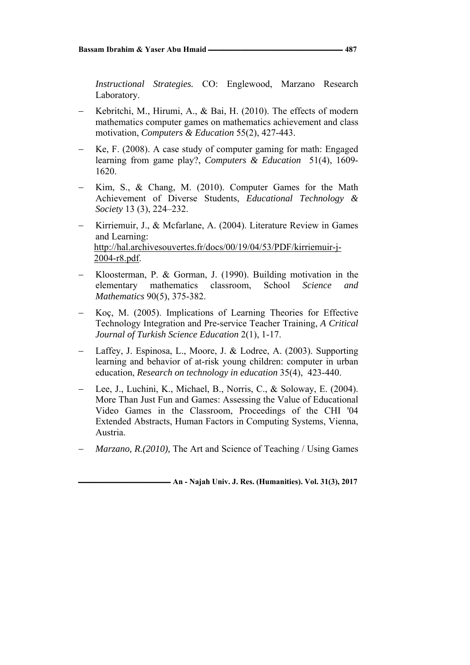*Instructional Strategies.* CO: Englewood, Marzano Research Laboratory.

- − Kebritchi, M., Hirumi, A., & Bai, H. (2010). The effects of modern mathematics computer games on mathematics achievement and class motivation, *Computers & Education* 55(2), 427-443.
- − Ke, F. (2008). A case study of computer gaming for math: Engaged learning from game play?, *Computers & Education* 51(4), 1609- 1620.
- Kim, S., & Chang, M. (2010). Computer Games for the Math Achievement of Diverse Students, *Educational Technology & Society* 13 (3), 224–232.
- − Kirriemuir, J., & Mcfarlane, A. (2004). Literature Review in Games and Learning: http://hal.archivesouvertes.fr/docs/00/19/04/53/PDF/kirriemuir-j-2004-r8.pdf.
- − Kloosterman, P. & Gorman, J. (1990). Building motivation in the elementary mathematics classroom, School *Science and Mathematics* 90(5), 375-382.
- − Koç, M. (2005). Implications of Learning Theories for Effective Technology Integration and Pre-service Teacher Training, *A Critical Journal of Turkish Science Education* 2(1), 1-17.
- − Laffey, J. Espinosa, L., Moore, J. & Lodree, A. (2003). Supporting learning and behavior of at-risk young children: computer in urban education, *Research on technology in education* 35(4), 423-440.
- − Lee, J., Luchini, K., Michael, B., Norris, C., & Soloway, E. (2004). More Than Just Fun and Games: Assessing the Value of Educational Video Games in the Classroom, Proceedings of the CHI '04 Extended Abstracts, Human Factors in Computing Systems, Vienna, Austria.
- *Marzano, R.(2010), The Art and Science of Teaching / Using Games*

 $-$  An - Najah Univ. J. Res. (Humanities). Vol. 31(3), 2017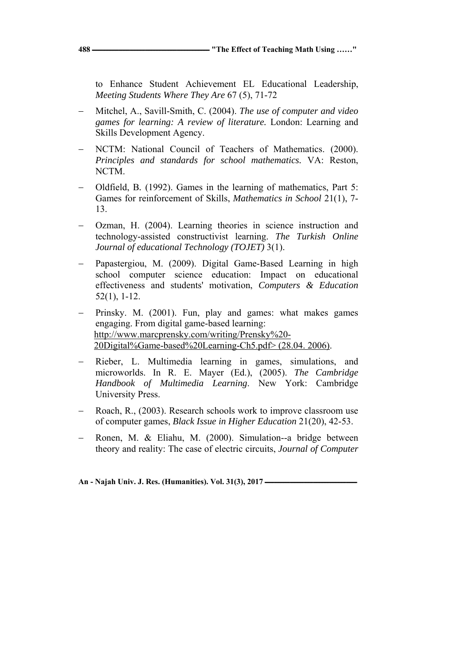**488 ـــــــــــــــــــــــــــــــــــــــــــــــــــــــــــــــــــــــــــ" The Effect of Teaching Math Using ……"** 

to Enhance Student Achievement EL Educational Leadership, *Meeting Students Where They Are* 67 (5), 71-72

- − Mitchel, A., Savill-Smith, C. (2004). *The use of computer and video games for learning: A review of literature.* London: Learning and Skills Development Agency.
- − NCTM: National Council of Teachers of Mathematics. (2000). *Principles and standards for school mathematics.* VA: Reston, NCTM.
- − Oldfield, B*.* (1992). Games in the learning of mathematics, Part 5: Games for reinforcement of Skills, *Mathematics in School* 21(1), 7- 13.
- − Ozman, H. (2004). Learning theories in science instruction and technology-assisted constructivist learning. *The Turkish Online Journal of educational Technology (TOJET)* 3(1).
- − Papastergiou, M. (2009). Digital Game-Based Learning in high school computer science education: Impact on educational effectiveness and students' motivation, *Computers & Education*  52(1), 1-12.
- Prinsky. M. (2001). Fun, play and games: what makes games engaging. From digital game-based learning: http://www.marcprensky.com/writing/Prensky%20- 20Digital%Game-based%20Learning-Ch5.pdf> (28.04. 2006).
- Rieber, L. Multimedia learning in games, simulations, and microworlds. In R. E. Mayer (Ed.), (2005). *The Cambridge Handbook of Multimedia Learning*. New York: Cambridge University Press.
- Roach, R., (2003). Research schools work to improve classroom use of computer games, *Black Issue in Higher Education* 21(20), 42-53.
- − Ronen, M. & Eliahu, M. (2000). Simulation--a bridge between theory and reality: The case of electric circuits, *Journal of Computer*

An - Najah Univ. J. Res. (Humanities). Vol. 31(3), 2017 —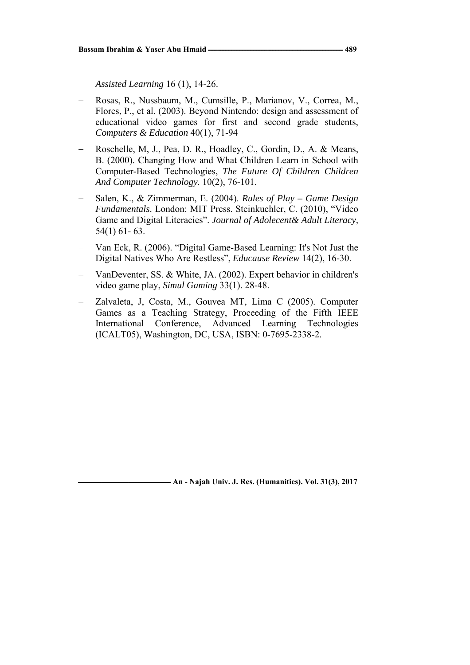*Assisted Learning* 16 (1), 14-26.

- − Rosas, R., Nussbaum, M., Cumsille, P., Marianov, V., Correa, M., Flores, P., et al. (2003). Beyond Nintendo: design and assessment of educational video games for first and second grade students, *Computers & Education* 40(1), 71-94
- − Roschelle, M, J., Pea, D. R., Hoadley, C., Gordin, D., A. & Means, B. (2000). Changing How and What Children Learn in School with Computer-Based Technologies, *The Future Of Children Children And Computer Technology.* 10(2), 76-101.
- − Salen, K., & Zimmerman, E. (2004). *Rules of Play Game Design Fundamentals*. London: MIT Press. Steinkuehler, C. (2010), "Video Game and Digital Literacies". *Journal of Adolecent& Adult Literacy,* 54(1) 61- 63.
- − Van Eck, R. (2006). "Digital Game-Based Learning: It's Not Just the Digital Natives Who Are Restless", *Educause Review* 14(2), 16-30.
- − VanDeventer, SS. & White, JA. (2002). Expert behavior in children's video game play, *Simul Gaming* 33(1). 28-48.
- − Zalvaleta, J, Costa, M., Gouvea MT, Lima C (2005). Computer Games as a Teaching Strategy, Proceeding of the Fifth IEEE International Conference, Advanced Learning Technologies (ICALT05), Washington, DC, USA, ISBN: 0-7695-2338-2.

**ـــــــــــــــــــــــــــــــــــــــــــــــــــــــــــ An - Najah Univ. J. Res. (Humanities). Vol. 31(3), 2017**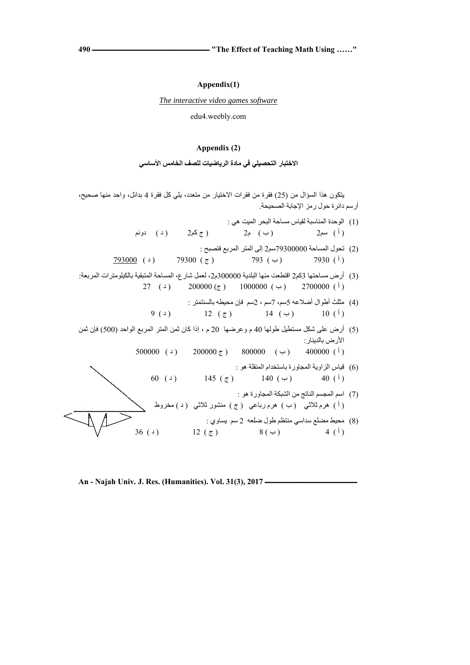**ــــــــــــــــــــــــــ "The Effect o of Teaching M Math Using … ……"** 

**49 ـــــــــــــــــــــــ 90**

**ــــــــــــــــــــــــــــ**

 $\overline{\phantom{a}}$ 

#### **Appe endix(1)**

*The interactive video games software* 

edu4.w weebly.com

#### **Appe endix (2)**

**الاختبار التحصيلي في مادة الرياضيات للصف الخامس الأساسي** 

يتكون هذا السؤال من (25) فقرة من فقرات الاختيار من متعدد، يلي كل فقرة 4 بدائل، واحد منـها صـحيح، (3) أرض مساحتها 2كم2 اقتطعت منها البلدية 300000م2، لعمل شارع، المساحة المتبقية بالكيلومترات المربعة: (5) أرض على شكل مستطيل طولھا 40 م و عرضـها 20 م ، إذا كان ثمن المتر المربـع الواحد (500) فإن ثمن 7 (ح) 79300 (ح) ( د ) دونم ( ج كم2 م2 ( ب ) أ ) سم2 ) 27 (د) 200000 (ج) 1000000 (ب) 2700000 (ف)  $(9(1)$   $12(5)$   $14(4)$   $10(1)$ 500000 ( $\rightarrow$  200000 ( $\rightarrow$  800000 ( $\rightarrow$  400000 ( $\rightarrow$  ) 60 (  $($   $)$  145 ( $($   $)$  140 ( $($   $)$  40 ( $($ ) (2) تحول المساحة 79300000سم2 إلى المتر المربع فتصبح : (4) مثلث أطوال أضلاعه 5سم، 7سم ، 2سم فإن محيطه بالسنتمتر : (1) الوحدة المناسبة لقياس مساحة البحر الميت هي : (6) قياس الزاوية المجاورة باستخدام المنقلة هو : (7) اسم المجسم الناتج من الشبكة المجاور ة هو : أرسم دائرة حول رمز الإجابة الصحيحة. ( ب ) 793 أ ) 7930 ) الأرض بالدينار :

 $36(4)$ ي : ج ) 12 لعه 2 سم يساوي ( ج ي منتظم طول ضل  $8($   $\leftrightarrow$   $)$ حيط مضلع سداسي  $\frac{4}{1}$ (8) مح )

(أ) هرم ثلاثي (ب) هرم(رباعي (ج) منشور ثلاثي (د)مخروط

**ــــــــــــــــــــــــــــ**

**ــــــــــــ**

**An n - Najah Un niv. J. Res. (H Humanities). V Vol. 31(3), 20 ـــــــــــــــــــــ 17**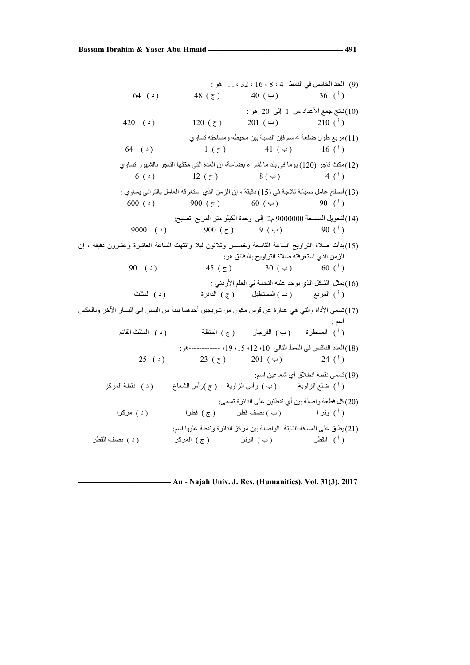(9) الحد الخامس في النمط 4 ، 8 ، 16 ، 32 ، .... ھو :  $(4)$   $48$   $(7)$   $40$   $(4)$   $36$   $(1)$ ناتج جمع الأعداد من 1 إلى 20 هو :  $(10)$ (  $+20$  (  $-$  )  $120$  (  $\bar{c}$  )  $201$  ( $-$  )  $210$  (<sup>1</sup>) (11)مربع طول ضلعة 4 سم فإن النسبة بين محيطه ومساحته تساوي  $(1)(5)$  1 (  $(5)$  41 (  $(4)$  16 (<sup>1</sup>) (12)مكث تاجر (120) يوما في بلد ما لشراء بضاعة، إن المدة التي مكثھا التاجر بالشھور تساوي  $(3)$   $12 (\tau)$   $8 (\tau)$   $4 (\tau)$ (13)أصلح عامل صيانة ثالجة في (15) دقيقة ، إن الزمن الذي استغرقه العامل بالثواني يساوي :  $(600(2))$  900 ( $\overline{z}$ ) 60 ( $\overline{z}$ ) 90 (<sup>1</sup>) (14)لتحويل المساحة 9000000 م2 إلى وحدة الكيلو متر المربع تصبح:  $9000$  (2)  $900 (\tau)$  9 (4)  $900$  (1) (15)بدأت صالة التراويح الساعة التاسعة وخمسس وثالثون ليال وانتھت الساعة العاشرة وعشرون دقيقة ، إن الزمن الذي استغرقته صالة التراويح بالدقائق ھو:  $(90)(3)$  45 ( $\bar{c}$ ) 30 ( $\leftrightarrow$ ) 60 (<sup>i</sup>) (16)يمثل الشكل الذي يوجد عليه النجمة في العلم الأر دني : ( أ ) المربع ( ب ) المستطيل ( ج ) الدائرة ( د ) المثلث (17)تسمى األداة والتي ھي عبارة عن قوس مكون من تدريجين أحدھما يبدأ من اليمين إلى اليسار اآلخر وبالعكس اسم : ( أ ) المسطرة ( ب ) الفرجار ( ج ) المنقلة ( د ) المثلث القائم (18)العدد الناقص في النمط التالي ،10 ،12 ،15 ،19 ------------ھو:  $25$  ( )  $23 (\tau)$   $201 (\tau)$   $24 (\tau)$ (19)تسمى نقطة انطالق أي شعاعين اسم: ( أ ) ضلع الزاوية ( ب ) رأس الزاوية ( ج )رأس الشعاع ( د ) نقطة المركز (20)كل قطعة واصلة بين أي نقطتين على الدائرة تسمى: ( أ ) وتر ا ( ب ) نصف قطر ( ج ) قطرا ( د ) مركزا (21)يطلق على المسافة الثابتة الواصلة بين مركز الدائرة ونقطة عليھا اسم: ( أ ) القطر ( ب ) الوتر ( ج ) المركز ( د ) نصف القطر

**ـــــــــــــــــــــــــــــــــــــــــــــــــــــــــــ An - Najah Univ. J. Res. (Humanities). Vol. 31(3), 2017**